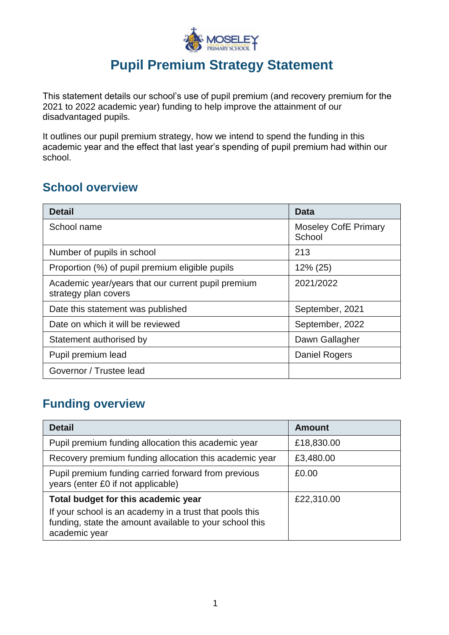

# **Pupil Premium Strategy Statement**

This statement details our school's use of pupil premium (and recovery premium for the 2021 to 2022 academic year) funding to help improve the attainment of our disadvantaged pupils.

It outlines our pupil premium strategy, how we intend to spend the funding in this academic year and the effect that last year's spending of pupil premium had within our school.

### **School overview**

| <b>Detail</b>                                                              | <b>Data</b>                           |  |
|----------------------------------------------------------------------------|---------------------------------------|--|
| School name                                                                | <b>Moseley CofE Primary</b><br>School |  |
| Number of pupils in school                                                 | 213                                   |  |
| Proportion (%) of pupil premium eligible pupils                            | $12\% (25)$                           |  |
| Academic year/years that our current pupil premium<br>strategy plan covers | 2021/2022                             |  |
| Date this statement was published                                          | September, 2021                       |  |
| Date on which it will be reviewed                                          | September, 2022                       |  |
| Statement authorised by                                                    | Dawn Gallagher                        |  |
| Pupil premium lead                                                         | Daniel Rogers                         |  |
| Governor / Trustee lead                                                    |                                       |  |

## **Funding overview**

| <b>Detail</b>                                                                                                                       | <b>Amount</b> |
|-------------------------------------------------------------------------------------------------------------------------------------|---------------|
| Pupil premium funding allocation this academic year                                                                                 | £18,830.00    |
| Recovery premium funding allocation this academic year                                                                              | £3,480.00     |
| Pupil premium funding carried forward from previous<br>years (enter £0 if not applicable)                                           | £0.00         |
| Total budget for this academic year                                                                                                 | £22,310.00    |
| If your school is an academy in a trust that pools this<br>funding, state the amount available to your school this<br>academic year |               |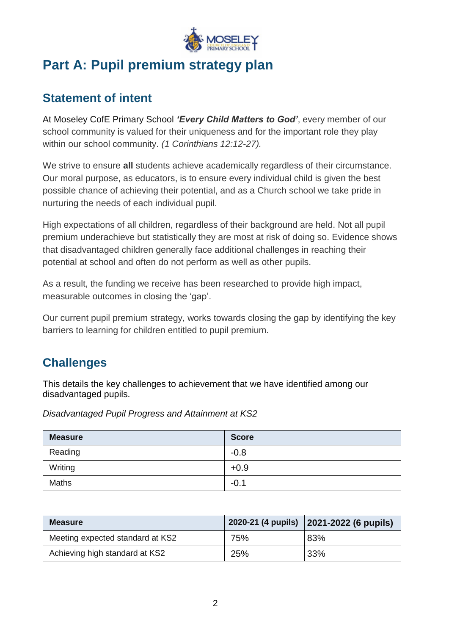

# **Part A: Pupil premium strategy plan**

### **Statement of intent**

At Moseley CofE Primary School *'Every Child Matters to God'*, every member of our school community is valued for their uniqueness and for the important role they play within our school community. *(1 Corinthians 12:12-27).*

We strive to ensure **all** students achieve academically regardless of their circumstance. Our moral purpose, as educators, is to ensure every individual child is given the best possible chance of achieving their potential, and as a Church school we take pride in nurturing the needs of each individual pupil.

High expectations of all children, regardless of their background are held. Not all pupil premium underachieve but statistically they are most at risk of doing so. Evidence shows that disadvantaged children generally face additional challenges in reaching their potential at school and often do not perform as well as other pupils.

As a result, the funding we receive has been researched to provide high impact, measurable outcomes in closing the 'gap'.

Our current pupil premium strategy, works towards closing the gap by identifying the key barriers to learning for children entitled to pupil premium.

## **Challenges**

This details the key challenges to achievement that we have identified among our disadvantaged pupils.

*Disadvantaged Pupil Progress and Attainment at KS2*

| <b>Measure</b> | <b>Score</b> |
|----------------|--------------|
| Reading        | $-0.8$       |
| Writing        | $+0.9$       |
| <b>Maths</b>   | $-0.1$       |

| <b>Measure</b>                   |     | 2020-21 (4 pupils) 2021-2022 (6 pupils) |
|----------------------------------|-----|-----------------------------------------|
| Meeting expected standard at KS2 | 75% | 83%                                     |
| Achieving high standard at KS2   | 25% | 33%                                     |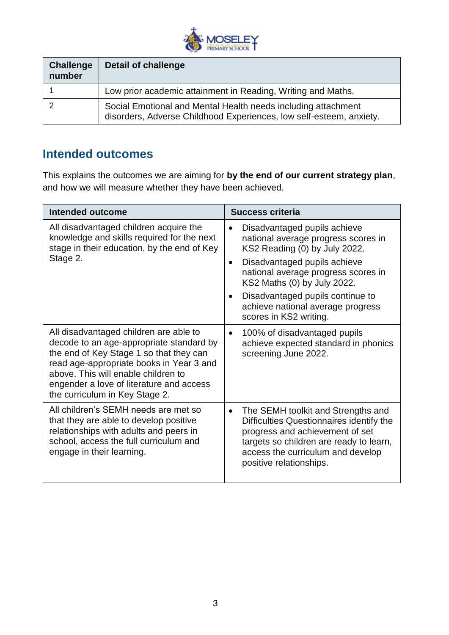

| <b>Challenge</b><br>number | <b>Detail of challenge</b>                                                                                                           |
|----------------------------|--------------------------------------------------------------------------------------------------------------------------------------|
|                            | Low prior academic attainment in Reading, Writing and Maths.                                                                         |
|                            | Social Emotional and Mental Health needs including attachment<br>disorders, Adverse Childhood Experiences, low self-esteem, anxiety. |

#### **Intended outcomes**

This explains the outcomes we are aiming for **by the end of our current strategy plan**, and how we will measure whether they have been achieved.

| <b>Intended outcome</b>                                                                                                                                                                                                                                                                        | <b>Success criteria</b>                                                                                                                                                                                                                                                                                                                 |  |
|------------------------------------------------------------------------------------------------------------------------------------------------------------------------------------------------------------------------------------------------------------------------------------------------|-----------------------------------------------------------------------------------------------------------------------------------------------------------------------------------------------------------------------------------------------------------------------------------------------------------------------------------------|--|
| All disadvantaged children acquire the<br>knowledge and skills required for the next<br>stage in their education, by the end of Key<br>Stage 2.                                                                                                                                                | Disadvantaged pupils achieve<br>national average progress scores in<br>KS2 Reading (0) by July 2022.<br>Disadvantaged pupils achieve<br>$\bullet$<br>national average progress scores in<br>KS2 Maths (0) by July 2022.<br>Disadvantaged pupils continue to<br>$\bullet$<br>achieve national average progress<br>scores in KS2 writing. |  |
| All disadvantaged children are able to<br>decode to an age-appropriate standard by<br>the end of Key Stage 1 so that they can<br>read age-appropriate books in Year 3 and<br>above. This will enable children to<br>engender a love of literature and access<br>the curriculum in Key Stage 2. | 100% of disadvantaged pupils<br>$\bullet$<br>achieve expected standard in phonics<br>screening June 2022.                                                                                                                                                                                                                               |  |
| All children's SEMH needs are met so<br>that they are able to develop positive<br>relationships with adults and peers in<br>school, access the full curriculum and<br>engage in their learning.                                                                                                | The SEMH toolkit and Strengths and<br>$\bullet$<br>Difficulties Questionnaires identify the<br>progress and achievement of set<br>targets so children are ready to learn,<br>access the curriculum and develop<br>positive relationships.                                                                                               |  |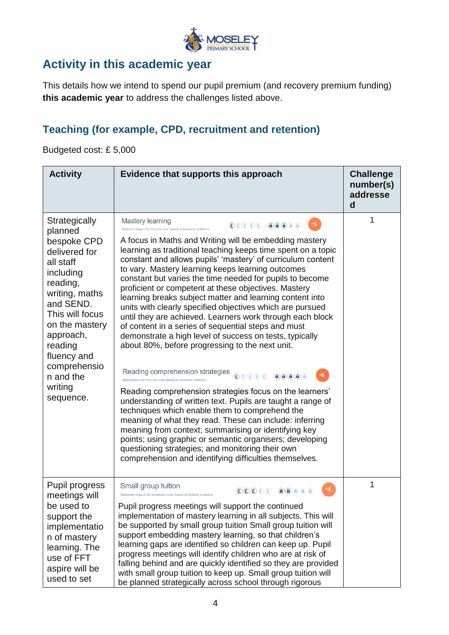

## **Activity in this academic year**

This details how we intend to spend our pupil premium (and recovery premium funding) **this academic year** to address the challenges listed above.

#### **Teaching (for example, CPD, recruitment and retention)**

Budgeted cost: £ 5,000

| <b>Activity</b>                                                                                                                                                                                                                                                | Evidence that supports this approach                                                                                                                                                                                                                                                                                                                                                                                                                                                                                                                                                                                                                                                                                                                                                                                                                                                                                                                                                                                                                                                                                                                                                                                                                                                                                                                                                                                                                                                                                                                                                                                                                                                                                                                                                                                                                                                                                                                                                                                                                                                                                                                                                                                                                                                                            | <b>Challenge</b><br>number(s)<br>addresse<br>d |
|----------------------------------------------------------------------------------------------------------------------------------------------------------------------------------------------------------------------------------------------------------------|-----------------------------------------------------------------------------------------------------------------------------------------------------------------------------------------------------------------------------------------------------------------------------------------------------------------------------------------------------------------------------------------------------------------------------------------------------------------------------------------------------------------------------------------------------------------------------------------------------------------------------------------------------------------------------------------------------------------------------------------------------------------------------------------------------------------------------------------------------------------------------------------------------------------------------------------------------------------------------------------------------------------------------------------------------------------------------------------------------------------------------------------------------------------------------------------------------------------------------------------------------------------------------------------------------------------------------------------------------------------------------------------------------------------------------------------------------------------------------------------------------------------------------------------------------------------------------------------------------------------------------------------------------------------------------------------------------------------------------------------------------------------------------------------------------------------------------------------------------------------------------------------------------------------------------------------------------------------------------------------------------------------------------------------------------------------------------------------------------------------------------------------------------------------------------------------------------------------------------------------------------------------------------------------------------------------|------------------------------------------------|
| Strategically<br>planned<br>bespoke CPD<br>delivered for<br>all staff<br>including<br>reading,<br>writing, maths<br>and SEND.<br>This will focus<br>on the mastery<br>approach,<br>reading<br>fluency and<br>comprehensio<br>n and the<br>writing<br>sequence. | Mastery learning<br>$\left(\mathbf{E}\right)\left(\mathbf{E}\right)\left(\mathbf{E}\right)\left(\mathbf{E}\right)\left(\mathbf{E}\right)$<br>$\left(\mathbf{\hat{a}}\right)\left(\mathbf{\hat{a}}\right)\left(\mathbf{\hat{a}}\right)\left(\mathbf{\hat{a}}\right)\left(\mathbf{\hat{a}}\right)$<br>Moderate impact for very low cost, based on moderate evidence.<br>A focus in Maths and Writing will be embedding mastery<br>learning as traditional teaching keeps time spent on a topic<br>constant and allows pupils' 'mastery' of curriculum content<br>to vary. Mastery learning keeps learning outcomes<br>constant but varies the time needed for pupils to become<br>proficient or competent at these objectives. Mastery<br>learning breaks subject matter and learning content into<br>units with clearly specified objectives which are pursued<br>until they are achieved. Learners work through each block<br>of content in a series of sequential steps and must<br>demonstrate a high level of success on tests, typically<br>about 80%, before progressing to the next unit.<br>Reading comprehension strategies $\bigoplus_{\textcircled{\tiny{E}}\, \textcircled{\tiny{E}}\, \textcircled{\tiny{E}}\, \textcircled{\tiny{E}}\, \textcircled{\tiny{E}}$<br>$+6$<br>$\left(\begin{array}{c c} \multicolumn{3}{c }{\bf\color{blue}{(a)}} & \multicolumn{3}{c }{\bf\color{blue}{(b)}} & \multicolumn{3}{c }{\bf\color{blue}{(b)}} & \multicolumn{3}{c }{\bf\color{blue}{(c)}} & \multicolumn{3}{c }{\bf\color{blue}{(d)}} & \multicolumn{3}{c }{\bf\color{blue}{(e)}} & \multicolumn{3}{c }{\bf\color{blue}{(e)}} & \multicolumn{3}{c }{\bf\color{blue}{(e)}} & \multicolumn{3}{c }{\bf\color{blue}{(e)}} & \multicolumn{3}{c }{\bf\color{blue}{(e)}}$<br>High impact for very low cost, based on extensive evidence.<br>Reading comprehension strategies focus on the learners'<br>understanding of written text. Pupils are taught a range of<br>techniques which enable them to comprehend the<br>meaning of what they read. These can include: inferring<br>meaning from context; summarising or identifying key<br>points; using graphic or semantic organisers; developing<br>questioning strategies; and monitoring their own<br>comprehension and identifying difficulties themselves. |                                                |
| Pupil progress<br>meetings will<br>be used to<br>support the<br>implementatio<br>n of mastery<br>learning. The<br>use of FFT<br>aspire will be<br>used to set                                                                                                  | Small group tuition<br>E(E)(E)(E)(E)<br>Moderate impact for moderate cost, based on limited evidence.<br>Pupil progress meetings will support the continued<br>implementation of mastery learning in all subjects. This will<br>be supported by small group tuition Small group tuition will<br>support embedding mastery learning, so that children's<br>learning gaps are identified so children can keep up. Pupil<br>progress meetings will identify children who are at risk of<br>falling behind and are quickly identified so they are provided<br>with small group tuition to keep up. Small group tuition will<br>be planned strategically across school through rigorous                                                                                                                                                                                                                                                                                                                                                                                                                                                                                                                                                                                                                                                                                                                                                                                                                                                                                                                                                                                                                                                                                                                                                                                                                                                                                                                                                                                                                                                                                                                                                                                                                              | 1                                              |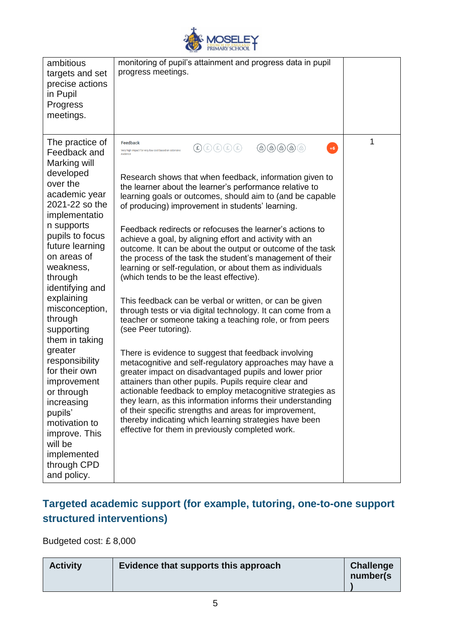

| ambitious<br>targets and set<br>precise actions<br>in Pupil<br>Progress<br>meetings.                                                                                                       | monitoring of pupil's attainment and progress data in pupil<br>progress meetings.                                                                                                                                                                                                                                                                                                                                                                                                                                                      |   |
|--------------------------------------------------------------------------------------------------------------------------------------------------------------------------------------------|----------------------------------------------------------------------------------------------------------------------------------------------------------------------------------------------------------------------------------------------------------------------------------------------------------------------------------------------------------------------------------------------------------------------------------------------------------------------------------------------------------------------------------------|---|
| The practice of<br>Feedback and<br>Marking will                                                                                                                                            | Feedback<br>$\textcircled{a}\textcircled{a}\textcircled{a}\textcircled{a}$<br>$+6$<br>$\textbf{(E)} \textcolor{black}{\textcircled{\texttt{E}}} \textcolor{black}{\textcircled{\texttt{E}}} \textcolor{black}{\textcircled{\texttt{E}}} \textcolor{black}{\textcircled{\texttt{E}}} \textcolor{black}{\textcircled{\texttt{E}}}$<br>Very high impact for very low cost based on extensive                                                                                                                                              | 1 |
| developed<br>over the<br>academic year<br>2021-22 so the<br>implementatio                                                                                                                  | Research shows that when feedback, information given to<br>the learner about the learner's performance relative to<br>learning goals or outcomes, should aim to (and be capable<br>of producing) improvement in students' learning.                                                                                                                                                                                                                                                                                                    |   |
| n supports<br>pupils to focus<br>future learning<br>on areas of<br>weakness,<br>through<br>identifying and                                                                                 | Feedback redirects or refocuses the learner's actions to<br>achieve a goal, by aligning effort and activity with an<br>outcome. It can be about the output or outcome of the task<br>the process of the task the student's management of their<br>learning or self-regulation, or about them as individuals<br>(which tends to be the least effective).                                                                                                                                                                                |   |
| explaining<br>misconception,<br>through<br>supporting<br>them in taking                                                                                                                    | This feedback can be verbal or written, or can be given<br>through tests or via digital technology. It can come from a<br>teacher or someone taking a teaching role, or from peers<br>(see Peer tutoring).                                                                                                                                                                                                                                                                                                                             |   |
| greater<br>responsibility<br>for their own<br>improvement<br>or through<br>increasing<br>pupils'<br>motivation to<br>improve. This<br>will be<br>implemented<br>through CPD<br>and policy. | There is evidence to suggest that feedback involving<br>metacognitive and self-regulatory approaches may have a<br>greater impact on disadvantaged pupils and lower prior<br>attainers than other pupils. Pupils require clear and<br>actionable feedback to employ metacognitive strategies as<br>they learn, as this information informs their understanding<br>of their specific strengths and areas for improvement,<br>thereby indicating which learning strategies have been<br>effective for them in previously completed work. |   |

## **Targeted academic support (for example, tutoring, one-to-one support structured interventions)**

Budgeted cost: £ 8,000

| <b>Activity</b> | Evidence that supports this approach | <b>Challenge</b><br>number(s) |
|-----------------|--------------------------------------|-------------------------------|
|-----------------|--------------------------------------|-------------------------------|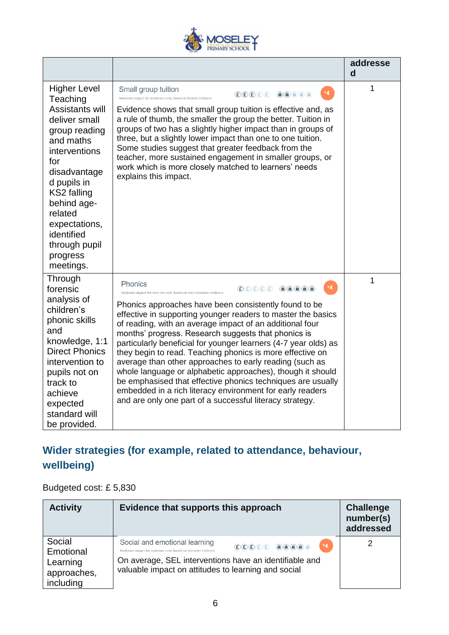

|                                                                                                                                                                                                                                                                            |                                                                                                                                                                                                                                                                                                                                                                                                                                                                                                                                                                                                                                                                                                                                                                                                                                                                                                                                                                                                                                                                                                                                                                                                                                                                                                                                    | addresse<br>d |
|----------------------------------------------------------------------------------------------------------------------------------------------------------------------------------------------------------------------------------------------------------------------------|------------------------------------------------------------------------------------------------------------------------------------------------------------------------------------------------------------------------------------------------------------------------------------------------------------------------------------------------------------------------------------------------------------------------------------------------------------------------------------------------------------------------------------------------------------------------------------------------------------------------------------------------------------------------------------------------------------------------------------------------------------------------------------------------------------------------------------------------------------------------------------------------------------------------------------------------------------------------------------------------------------------------------------------------------------------------------------------------------------------------------------------------------------------------------------------------------------------------------------------------------------------------------------------------------------------------------------|---------------|
| <b>Higher Level</b><br>Teaching<br>Assistants will<br>deliver small<br>group reading<br>and maths<br>interventions<br>for<br>disadvantage<br>d pupils in<br>KS2 falling<br>behind age-<br>related<br>expectations,<br>identified<br>through pupil<br>progress<br>meetings. | Small group tuition<br>$+4$<br>$\textcircled{\texttt{f}}\textcircled{\texttt{f}}\textcircled{\texttt{f}}\textcircled{\texttt{f}}\textcircled{\texttt{f}}\textcircled{\texttt{f}}\textcircled{\texttt{f}}\textcircled{\texttt{f}}\textcircled{\texttt{f}}\textcircled{\texttt{f}}\textcircled{\texttt{f}}$<br>Moderate impact for moderate cost, based on limited evidence.<br>Evidence shows that small group tuition is effective and, as<br>a rule of thumb, the smaller the group the better. Tuition in<br>groups of two has a slightly higher impact than in groups of<br>three, but a slightly lower impact than one to one tuition.<br>Some studies suggest that greater feedback from the<br>teacher, more sustained engagement in smaller groups, or<br>work which is more closely matched to learners' needs<br>explains this impact.                                                                                                                                                                                                                                                                                                                                                                                                                                                                                    | 1             |
| Through<br>forensic<br>analysis of<br>children's<br>phonic skills<br>and<br>knowledge, 1:1<br><b>Direct Phonics</b><br>intervention to<br>pupils not on<br>track to<br>achieve<br>expected<br>standard will<br>be provided.                                                | Phonics<br>$+4$<br>$\textcircled{\texttt{f}}(\textcircled{\texttt{f}})(\textcircled{\texttt{f}})(\textcircled{\texttt{f}})(\textcircled{\texttt{f}})(\textcircled{\texttt{f}})(\textcircled{\texttt{f}})(\textcircled{\texttt{f}})(\textcircled{\texttt{f}})(\textcircled{\texttt{f}})(\textcircled{\texttt{f}})(\textcircled{\texttt{f}})(\textcircled{\texttt{f}})(\textcircled{\texttt{f}})(\textcircled{\texttt{f}})(\textcircled{\texttt{f}})(\textcircled{\texttt{f}})(\textcircled{\texttt{f}})(\textcircled{\texttt{f}})(\textcircled{\texttt{f}})(\$<br>Moderate impact for very low cost, based on very extensive evidence.<br>Phonics approaches have been consistently found to be<br>effective in supporting younger readers to master the basics<br>of reading, with an average impact of an additional four<br>months' progress. Research suggests that phonics is<br>particularly beneficial for younger learners (4-7 year olds) as<br>they begin to read. Teaching phonics is more effective on<br>average than other approaches to early reading (such as<br>whole language or alphabetic approaches), though it should<br>be emphasised that effective phonics techniques are usually<br>embedded in a rich literacy environment for early readers<br>and are only one part of a successful literacy strategy. | 1             |

# **Wider strategies (for example, related to attendance, behaviour, wellbeing)**

Budgeted cost: £ 5,830

| <b>Activity</b>                                             | Evidence that supports this approach                                                                                                                                                                                                                                                                                                                                                                         | <b>Challenge</b><br>number(s)<br>addressed |
|-------------------------------------------------------------|--------------------------------------------------------------------------------------------------------------------------------------------------------------------------------------------------------------------------------------------------------------------------------------------------------------------------------------------------------------------------------------------------------------|--------------------------------------------|
| Social<br>Emotional<br>Learning<br>approaches,<br>including | Social and emotional learning<br>$+4$<br>$\textcolor{red}{\textcircled{\texttt{E}} \textcircled{\texttt{E}} \textcircled{\texttt{E}} \text{ \textcircled{\texttt{A}} \textcircled{\texttt{A}} \textcircled{\texttt{A}}}$<br>Moderate impact for moderate cost, based on extensive evidence.<br>On average, SEL interventions have an identifiable and<br>valuable impact on attitudes to learning and social |                                            |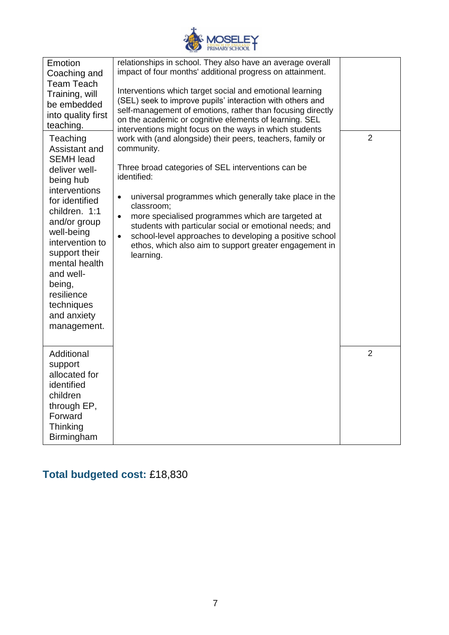

| Emotion<br>Coaching and<br><b>Team Teach</b><br>Training, will<br>be embedded<br>into quality first<br>teaching.                                                                                                                                                                                    | relationships in school. They also have an average overall<br>impact of four months' additional progress on attainment.<br>Interventions which target social and emotional learning<br>(SEL) seek to improve pupils' interaction with others and<br>self-management of emotions, rather than focusing directly<br>on the academic or cognitive elements of learning. SEL<br>interventions might focus on the ways in which students                                                               |                |
|-----------------------------------------------------------------------------------------------------------------------------------------------------------------------------------------------------------------------------------------------------------------------------------------------------|---------------------------------------------------------------------------------------------------------------------------------------------------------------------------------------------------------------------------------------------------------------------------------------------------------------------------------------------------------------------------------------------------------------------------------------------------------------------------------------------------|----------------|
| Teaching<br>Assistant and<br><b>SEMH</b> lead<br>deliver well-<br>being hub<br>interventions<br>for identified<br>children. 1:1<br>and/or group<br>well-being<br>intervention to<br>support their<br>mental health<br>and well-<br>being,<br>resilience<br>techniques<br>and anxiety<br>management. | work with (and alongside) their peers, teachers, family or<br>community.<br>Three broad categories of SEL interventions can be<br>identified:<br>universal programmes which generally take place in the<br>$\bullet$<br>classroom;<br>more specialised programmes which are targeted at<br>$\bullet$<br>students with particular social or emotional needs; and<br>school-level approaches to developing a positive school<br>ethos, which also aim to support greater engagement in<br>learning. | $\overline{2}$ |
| Additional<br>support<br>allocated for<br>identified<br>children<br>through EP,<br>Forward<br>Thinking<br>Birmingham                                                                                                                                                                                |                                                                                                                                                                                                                                                                                                                                                                                                                                                                                                   | $\overline{2}$ |

# **Total budgeted cost:** £18,830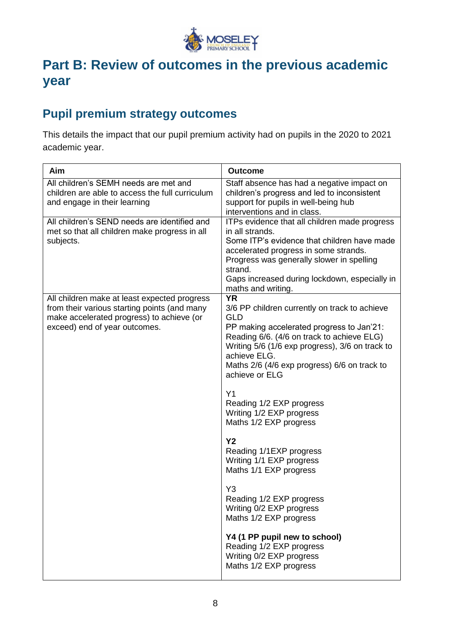

# **Part B: Review of outcomes in the previous academic year**

## **Pupil premium strategy outcomes**

This details the impact that our pupil premium activity had on pupils in the 2020 to 2021 academic year.

| Aim                                                                                                                                                                        | <b>Outcome</b>                                                                                                                                                                                                                                                                                                                                                                                                                                                                                                                                                                                                                                                                                                        |
|----------------------------------------------------------------------------------------------------------------------------------------------------------------------------|-----------------------------------------------------------------------------------------------------------------------------------------------------------------------------------------------------------------------------------------------------------------------------------------------------------------------------------------------------------------------------------------------------------------------------------------------------------------------------------------------------------------------------------------------------------------------------------------------------------------------------------------------------------------------------------------------------------------------|
| All children's SEMH needs are met and<br>children are able to access the full curriculum<br>and engage in their learning                                                   | Staff absence has had a negative impact on<br>children's progress and led to inconsistent<br>support for pupils in well-being hub<br>interventions and in class.                                                                                                                                                                                                                                                                                                                                                                                                                                                                                                                                                      |
| All children's SEND needs are identified and<br>met so that all children make progress in all<br>subjects.                                                                 | ITPs evidence that all children made progress<br>in all strands.<br>Some ITP's evidence that children have made<br>accelerated progress in some strands.<br>Progress was generally slower in spelling<br>strand.<br>Gaps increased during lockdown, especially in<br>maths and writing.                                                                                                                                                                                                                                                                                                                                                                                                                               |
| All children make at least expected progress<br>from their various starting points (and many<br>make accelerated progress) to achieve (or<br>exceed) end of year outcomes. | <b>YR</b><br>3/6 PP children currently on track to achieve<br><b>GLD</b><br>PP making accelerated progress to Jan'21:<br>Reading 6/6. (4/6 on track to achieve ELG)<br>Writing 5/6 (1/6 exp progress), 3/6 on track to<br>achieve ELG.<br>Maths 2/6 (4/6 exp progress) 6/6 on track to<br>achieve or ELG<br>Y1<br>Reading 1/2 EXP progress<br>Writing 1/2 EXP progress<br>Maths 1/2 EXP progress<br><b>Y2</b><br>Reading 1/1EXP progress<br>Writing 1/1 EXP progress<br>Maths 1/1 EXP progress<br>Y <sub>3</sub><br>Reading 1/2 EXP progress<br>Writing 0/2 EXP progress<br>Maths 1/2 EXP progress<br>Y4 (1 PP pupil new to school)<br>Reading 1/2 EXP progress<br>Writing 0/2 EXP progress<br>Maths 1/2 EXP progress |